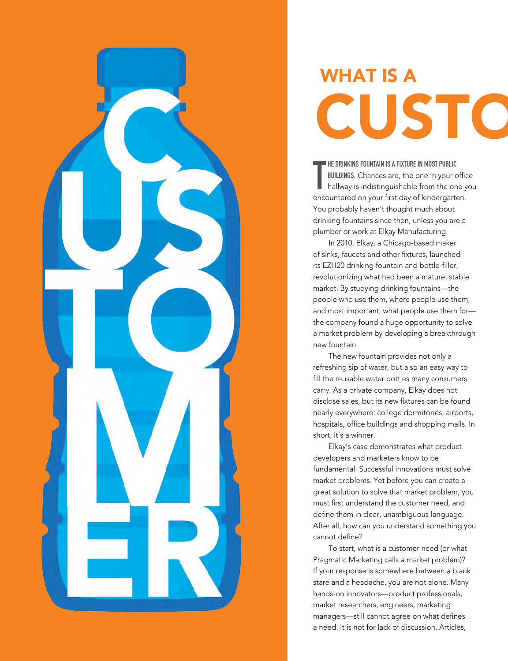

## WHAT IS A **CUSTO**

HE DRINKING FOUNTAIN IS A FIXTURE IN MOST PUBLIC<br>BUILDINGS. Chances are, the one in your office<br>hallway is indistinguishable from the one y<br>encountered on your first day of kindergarten. HE DRINKING FOUNTAIN IS A FIXTURE IN MOST PUBLIC BUILDINGS. Chances are, the one in your office hallway is indistinguishable from the one you You probably haven't thought much about drinking fountains since then, unless you are a plumber or work at Elkay Manufacturing.

 In 2010, Elkay, a Chicago-based maker of sinks, faucets and other fixtures, launched its EZH20 drinking fountain and bottle-filler, revolutionizing what had been a mature, stable market. By studying drinking fountains—the people who use them, where people use them, and most important, what people use them for the company found a huge opportunity to solve a market problem by developing a breakthrough new fountain.

 The new fountain provides not only a refreshing sip of water, but also an easy way to fill the reusable water bottles many consumers carry. As a private company, Elkay does not disclose sales, but its new fixtures can be found nearly everywhere: college dormitories, airports, hospitals, office buildings and shopping malls. In short, it's a winner.

 Elkay's case demonstrates what product developers and marketers know to be fundamental: Successful innovations must solve market problems. Yet before you can create a great solution to solve that market problem, you must first understand the customer need, and define them in clear, unambiguous language. After all, how can you understand something you cannot define?

 To start, what is a customer need (or what Pragmatic Marketing calls a market problem)? If your response is somewhere between a blank stare and a headache, you are not alone. Many hands-on innovators—product professionals, market researchers, engineers, marketing managers—still cannot agree on what defines a need. It is not for lack of discussion. Articles,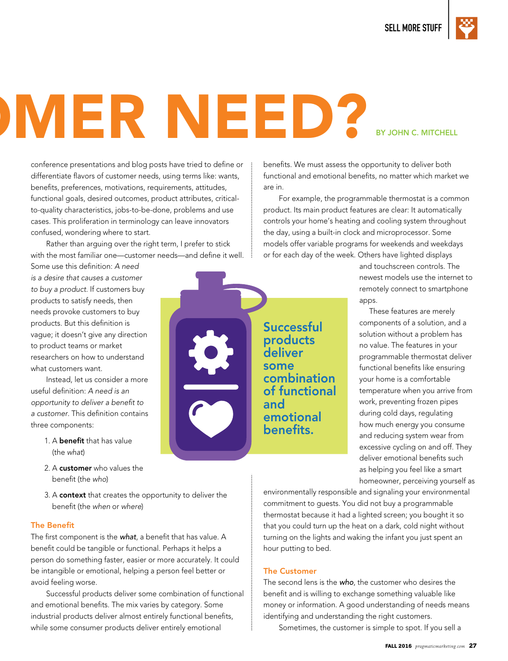BY JOHN C. MITCHELL

# CUSTOMER NEED?

conference presentations and blog posts have tried to define or differentiate flavors of customer needs, using terms like: wants, benefits, preferences, motivations, requirements, attitudes, functional goals, desired outcomes, product attributes, criticalto-quality characteristics, jobs-to-be-done, problems and use cases. This proliferation in terminology can leave innovators confused, wondering where to start.

 Rather than arguing over the right term, I prefer to stick with the most familiar one—customer needs—and define it well.

Some use this definition: A need is a desire that causes a customer to buy a product. If customers buy products to satisfy needs, then needs provoke customers to buy products. But this definition is vague; it doesn't give any direction to product teams or market researchers on how to understand what customers want

 Instead, let us consider a more useful definition: A need is an opportunity to deliver a benefit to a customer. This definition contains three components:

- 1. A **benefit** that has value (the what)
- 2. A customer who values the benefit (the who)
- 3. A context that creates the opportunity to deliver the benefit (the when or where)

#### The Benefit

The first component is the what, a benefit that has value. A benefit could be tangible or functional. Perhaps it helps a person do something faster, easier or more accurately. It could be intangible or emotional, helping a person feel better or avoid feeling worse.

 Successful products deliver some combination of functional and emotional benefits. The mix varies by category. Some industrial products deliver almost entirely functional benefits, while some consumer products deliver entirely emotional

benefits. We must assess the opportunity to deliver both functional and emotional benefits, no matter which market we are in.

 For example, the programmable thermostat is a common product. Its main product features are clear: It automatically controls your home's heating and cooling system throughout the day, using a built-in clock and microprocessor. Some models offer variable programs for weekends and weekdays or for each day of the week. Others have lighted displays

**Successful** products deliver some combination of functional and emotional benefits.

and touchscreen controls. The newest models use the internet to remotely connect to smartphone apps.

 These features are merely components of a solution, and a solution without a problem has no value. The features in your programmable thermostat deliver functional benefits like ensuring your home is a comfortable temperature when you arrive from work, preventing frozen pipes during cold days, regulating how much energy you consume and reducing system wear from excessive cycling on and off. They deliver emotional benefits such as helping you feel like a smart homeowner, perceiving yourself as

environmentally responsible and signaling your environmental commitment to guests. You did not buy a programmable thermostat because it had a lighted screen; you bought it so that you could turn up the heat on a dark, cold night without turning on the lights and waking the infant you just spent an hour putting to bed.

#### The Customer

The second lens is the who, the customer who desires the benefit and is willing to exchange something valuable like money or information. A good understanding of needs means identifying and understanding the right customers.

Sometimes, the customer is simple to spot. If you sell a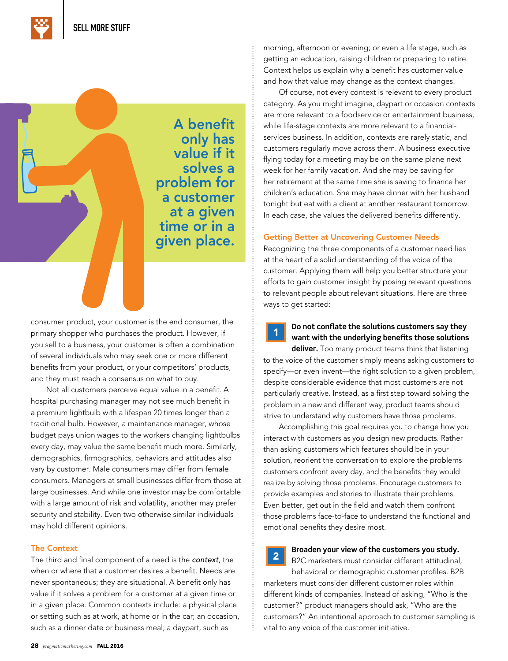

consumer product, your customer is the end consumer, the primary shopper who purchases the product. However, if you sell to a business, your customer is often a combination of several individuals who may seek one or more different benefits from your product, or your competitors' products, and they must reach a consensus on what to buy.

Not all customers perceive equal value in a benefit. A hospital purchasing manager may not see much benefit in a premium lightbulb with a lifespan 20 times longer than a traditional bulb. However, a maintenance manager, whose budget pays union wages to the workers changing lightbulbs every day, may value the same benefit much more. Similarly, demographics, firmographics, behaviors and attitudes also vary by customer. Male consumers may differ from female consumers. Managers at small businesses differ from those at large businesses. And while one investor may be comfortable with a large amount of risk and volatility, another may prefer security and stability. Even two otherwise similar individuals may hold different opinions.

#### The Context

The third and final component of a need is the context, the when or where that a customer desires a benefit. Needs are never spontaneous; they are situational. A benefit only has value if it solves a problem for a customer at a given time or in a given place. Common contexts include: a physical place or setting such as at work, at home or in the car; an occasion, such as a dinner date or business meal; a daypart, such as

morning, afternoon or evening; or even a life stage, such as getting an education, raising children or preparing to retire. Context helps us explain why a benefit has customer value and how that value may change as the context changes.

Of course, not every context is relevant to every product category. As you might imagine, daypart or occasion contexts are more relevant to a foodservice or entertainment business, while life-stage contexts are more relevant to a financialservices business. In addition, contexts are rarely static, and customers regularly move across them. A business executive flying today for a meeting may be on the same plane next week for her family vacation. And she may be saving for her retirement at the same time she is saving to finance her children's education. She may have dinner with her husband tonight but eat with a client at another restaurant tomorrow. In each case, she values the delivered benefits differently.

#### Getting Better at Uncovering Customer Needs

Recognizing the three components of a customer need lies at the heart of a solid understanding of the voice of the customer. Applying them will help you better structure your efforts to gain customer insight by posing relevant questions to relevant people about relevant situations. Here are three ways to get started:

1

#### **Do not conflate the solutions customers say they want with the underlying benefits those solutions**

**deliver.** Too many product teams think that listening to the voice of the customer simply means asking customers to specify—or even invent—the right solution to a given problem, despite considerable evidence that most customers are not particularly creative. Instead, as a first step toward solving the problem in a new and different way, product teams should strive to understand why customers have those problems.

Accomplishing this goal requires you to change how you interact with customers as you design new products. Rather than asking customers which features should be in your solution, reorient the conversation to explore the problems customers confront every day, and the benefits they would realize by solving those problems. Encourage customers to provide examples and stories to illustrate their problems. Even better, get out in the field and watch them confront those problems face-to-face to understand the functional and emotional benefits they desire most.

2

#### **Broaden your view of the customers you study.**

B2C marketers must consider different attitudinal, behavioral or demographic customer profiles. B2B marketers must consider different customer roles within different kinds of companies. Instead of asking, "Who is the customer?" product managers should ask, "Who are the customers?" An intentional approach to customer sampling is vital to any voice of the customer initiative.